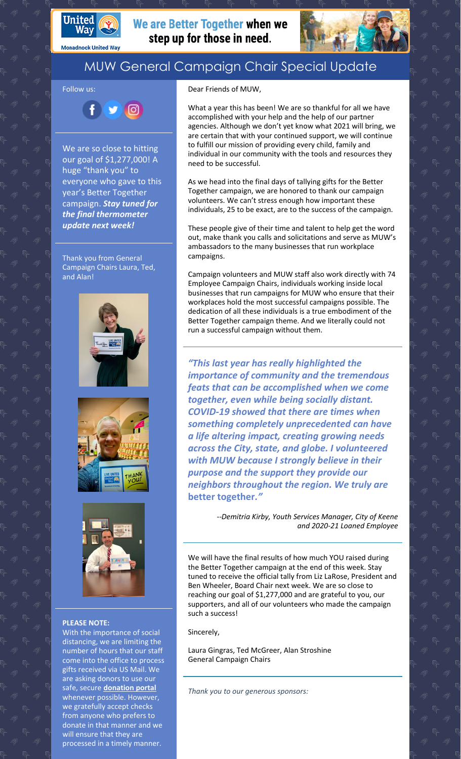

**Monadnock United Way** 

Follow us:

## We are Better Together when we step up for those in need.



## MUW General Campaign Chair Special Update

Ŧ  $900$ 

We are so close to hitting our goal of \$1,277,000! A huge "thank you" to everyone who gave to this year's Better Together campaign. *Stay tuned for the final thermometer update next week!*

Thank you from General Campaign Chairs Laura, Ted, and Alan!







## **PLEASE NOTE:**

With the importance of social distancing, we are limiting the number of hours that our staff come into the office to process gifts received via US Mail. We are asking donors to use our safe, secure **[donation](https://app.mobilecause.com/f/2vgz/n?reset=1&%253Bid=1&vid=cdoig) portal** whenever possible. However, we gratefully accept checks from anyone who prefers to donate in that manner and we will ensure that they are processed in a timely manner.

Dear Friends of MUW,

What a year this has been! We are so thankful for all we have accomplished with your help and the help of our partner agencies. Although we don't yet know what 2021 will bring, we are certain that with your continued support, we will continue to fulfill our mission of providing every child, family and individual in our community with the tools and resources they need to be successful.

As we head into the final days of tallying gifts for the Better Together campaign, we are honored to thank our campaign volunteers. We can't stress enough how important these individuals, 25 to be exact, are to the success of the campaign.

These people give of their time and talent to help get the word out, make thank you calls and solicitations and serve as MUW's ambassadors to the many businesses that run workplace campaigns.

Campaign volunteers and MUW staff also work directly with 74 Employee Campaign Chairs, individuals working inside local businesses that run campaigns for MUW who ensure that their workplaces hold the most successful campaigns possible. The dedication of all these individuals is a true embodiment of the Better Together campaign theme. And we literally could not run a successful campaign without them.

*"This last year has really highlighted the importance of community and the tremendous feats that can be accomplished when we come together, even while being socially distant. COVID-19 showed that there are times when something completely unprecedented can have a life altering impact, creating growing needs across the City, state, and globe. I volunteered with MUW because I strongly believe in their purpose and the support they provide our neighbors throughout the region. We truly are* **better together***."*

> --*Demitria Kirby, Youth Services Manager, City of Keene and 2020-21 Loaned Employee*

We will have the final results of how much YOU raised during the Better Together campaign at the end of this week. Stay tuned to receive the official tally from Liz LaRose, President and Ben Wheeler, Board Chair next week. We are so close to reaching our goal of \$1,277,000 and are grateful to you, our supporters, and all of our volunteers who made the campaign such a success!

Sincerely,

Laura Gingras, Ted McGreer, Alan Stroshine General Campaign Chairs

*Thank you to our generous sponsors:*